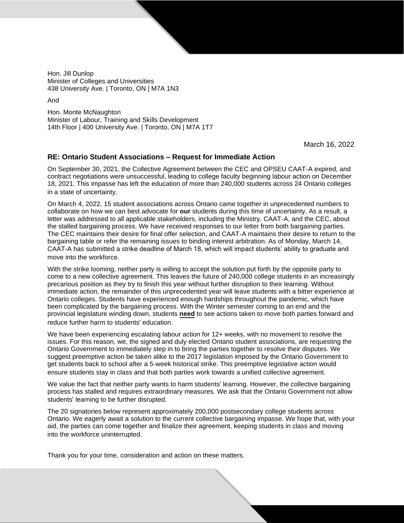Hon. Jill Dunlop Minister of Colleges and Universities 438 University Ave. | Toronto, ON | M7A 1N3

And

Hon. Monte McNaughton Minister of Labour, Training and Skills Development 14th Floor | 400 University Ave. | Toronto, ON | M7A 1T7

March 16, 2022

## **RE: Ontario Student Associations – Request for Immediate Action**

On September 30, 2021, the Collective Agreement between the CEC and OPSEU CAAT-A expired, and contract negotiations were unsuccessful, leading to college faculty beginning labour action on December 18, 2021. This impasse has left the education of more than 240,000 students across 24 Ontario colleges in a state of uncertainty.

On March 4, 2022, 15 student associations across Ontario came together in unprecedented numbers to collaborate on how we can best advocate for **our** students during this time of uncertainty. As a result, a letter was addressed to all applicable stakeholders, including the Ministry, CAAT-A, and the CEC, about the stalled bargaining process. We have received responses to our letter from both bargaining parties. The CEC maintains their desire for final offer selection, and CAAT-A maintains their desire to return to the bargaining table or refer the remaining issues to binding interest arbitration. As of Monday, March 14, CAAT-A has submitted a strike deadline of March 18, which will impact students' ability to graduate and move into the workforce.

With the strike looming, neither party is willing to accept the solution put forth by the opposite party to come to a new collective agreement. This leaves the future of 240,000 college students in an increasingly precarious position as they try to finish this year without further disruption to their learning. Without immediate action, the remainder of this unprecedented year will leave students with a bitter experience at Ontario colleges. Students have experienced enough hardships throughout the pandemic, which have been complicated by the bargaining process. With the Winter semester coming to an end and the provincial legislature winding down, students **need** to see actions taken to move both parties forward and reduce further harm to students' education.

We have been experiencing escalating labour action for 12+ weeks, with no movement to resolve the issues. For this reason, we, the signed and duly elected Ontario student associations, are requesting the Ontario Government to immediately step in to bring the parties together to resolve their disputes. We suggest preemptive action be taken alike to the 2017 legislation imposed by the Ontario Government to get students back to school after a 5-week historical strike. This preemptive legislative action would ensure students stay in class and that both parties work towards a unified collective agreement.

We value the fact that neither party wants to harm students' learning. However, the collective bargaining process has stalled and requires extraordinary measures. We ask that the Ontario Government not allow students' learning to be further disrupted.

The 20 signatories below represent approximately 200,000 postsecondary college students across Ontario. We eagerly await a solution to the current collective bargaining impasse. We hope that, with your aid, the parties can come together and finalize their agreement, keeping students in class and moving into the workforce uninterrupted.

Thank you for your time, consideration and action on these matters.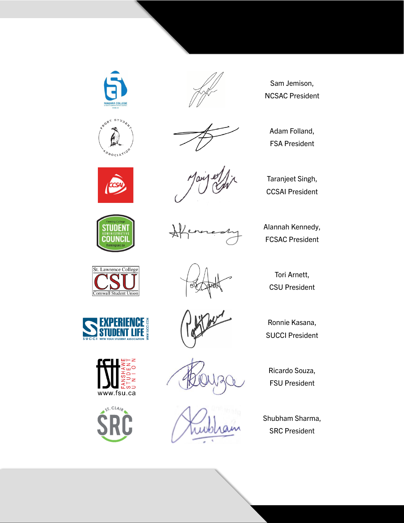









Sam Jemison, NCSAC President

Adam Folland, FSA President

Alannah Kennedy, FCSAC President

Taranjeet Singh, CCSAI President

Tori Arnett, CSU President

Ronnie Kasana, SUCCI President

Ricardo Souza, FSU President

Shubham Sharma, SRC President

St. Lawrence College Cornwall Student Union





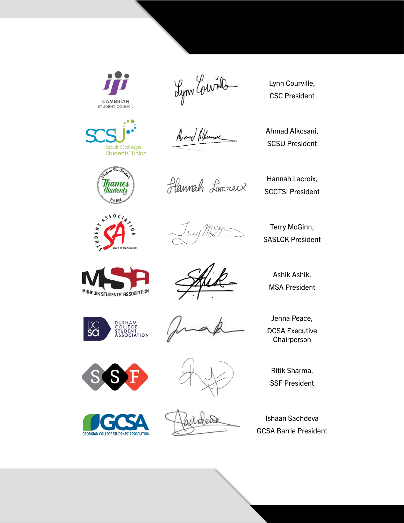

Lynn Courrille

Lynn Courville, CSC President

Al med Alwence

Ahmad Alkosani, SCSU President



Sault College<br>Students' Union



Hannah Loreneux

Hannah Lacroix, SCCTSI President

Terry McGinn, SASLCK President



Ashik Ashik, MSA President





DCSA Executive Chairperson

Jenna Peace,



**GEORGIAN COLLEGE STUDENTS' ASSOCIATION** 



Vers

Ritik Sharma, SSF President

Ishaan Sachdeva GCSA Barrie President